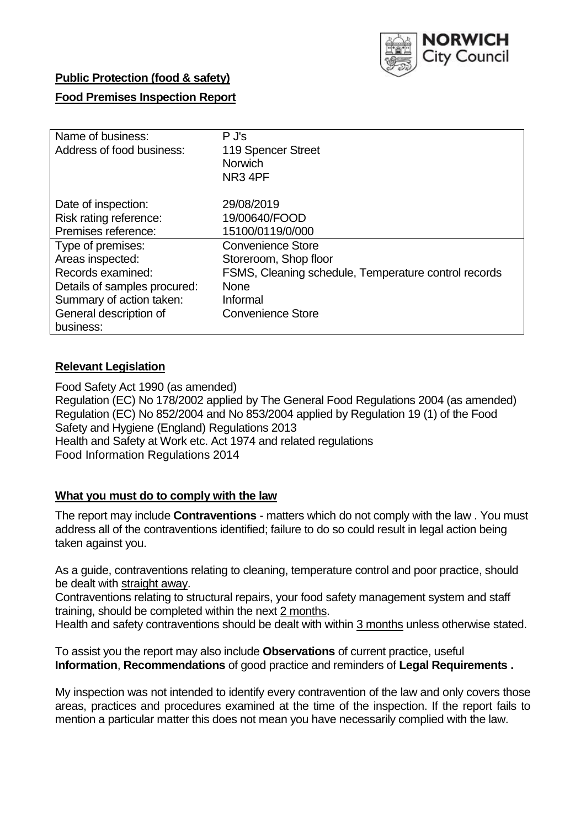

## **Public Protection (food & safety)**

# **Food Premises Inspection Report**

| Name of business:            | $P$ J's                                              |
|------------------------------|------------------------------------------------------|
| Address of food business:    | 119 Spencer Street                                   |
|                              | <b>Norwich</b>                                       |
|                              | NR <sub>3</sub> 4PF                                  |
|                              |                                                      |
| Date of inspection:          | 29/08/2019                                           |
| Risk rating reference:       | 19/00640/FOOD                                        |
| Premises reference:          | 15100/0119/0/000                                     |
| Type of premises:            | <b>Convenience Store</b>                             |
| Areas inspected:             | Storeroom, Shop floor                                |
| Records examined:            | FSMS, Cleaning schedule, Temperature control records |
| Details of samples procured: | <b>None</b>                                          |
| Summary of action taken:     | Informal                                             |
| General description of       | <b>Convenience Store</b>                             |
| business:                    |                                                      |

## **Relevant Legislation**

Food Safety Act 1990 (as amended) Regulation (EC) No 178/2002 applied by The General Food Regulations 2004 (as amended) Regulation (EC) No 852/2004 and No 853/2004 applied by Regulation 19 (1) of the Food Safety and Hygiene (England) Regulations 2013 Health and Safety at Work etc. Act 1974 and related regulations Food Information Regulations 2014

#### **What you must do to comply with the law**

The report may include **Contraventions** - matters which do not comply with the law . You must address all of the contraventions identified; failure to do so could result in legal action being taken against you.

As a guide, contraventions relating to cleaning, temperature control and poor practice, should be dealt with straight away.

Contraventions relating to structural repairs, your food safety management system and staff training, should be completed within the next 2 months.

Health and safety contraventions should be dealt with within 3 months unless otherwise stated.

To assist you the report may also include **Observations** of current practice, useful **Information**, **Recommendations** of good practice and reminders of **Legal Requirements .**

My inspection was not intended to identify every contravention of the law and only covers those areas, practices and procedures examined at the time of the inspection. If the report fails to mention a particular matter this does not mean you have necessarily complied with the law.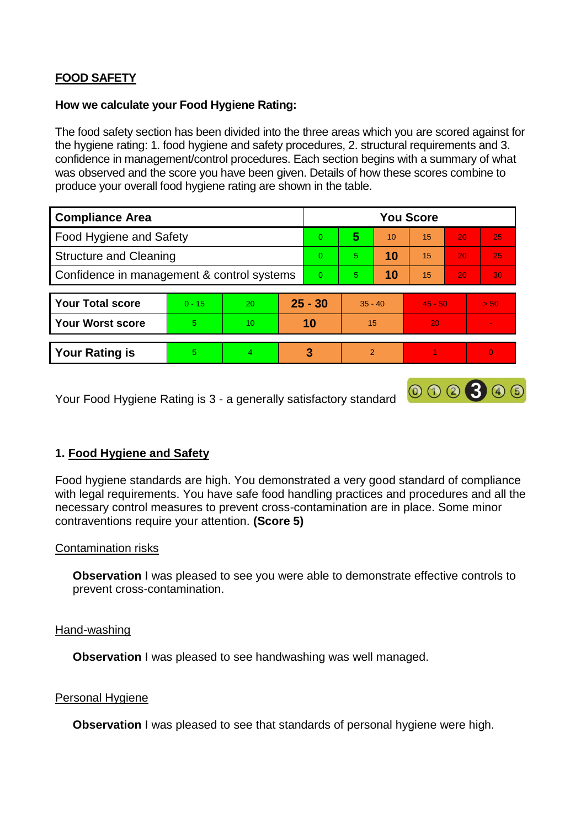# **FOOD SAFETY**

#### **How we calculate your Food Hygiene Rating:**

The food safety section has been divided into the three areas which you are scored against for the hygiene rating: 1. food hygiene and safety procedures, 2. structural requirements and 3. confidence in management/control procedures. Each section begins with a summary of what was observed and the score you have been given. Details of how these scores combine to produce your overall food hygiene rating are shown in the table.

| <b>Compliance Area</b>                     |          |    |           | <b>You Score</b> |               |    |           |                 |          |  |  |
|--------------------------------------------|----------|----|-----------|------------------|---------------|----|-----------|-----------------|----------|--|--|
| Food Hygiene and Safety                    |          |    |           | $\Omega$         | 5             | 10 | 15        | 20              | 25       |  |  |
| <b>Structure and Cleaning</b>              |          |    | $\Omega$  | 5                | 10            | 15 | 20        | 25              |          |  |  |
| Confidence in management & control systems |          |    | $\Omega$  | 5                | 10            | 15 | 20        | 30 <sup>°</sup> |          |  |  |
|                                            |          |    |           |                  |               |    |           |                 |          |  |  |
| <b>Your Total score</b>                    | $0 - 15$ | 20 | $25 - 30$ |                  | $35 - 40$     |    | $45 - 50$ |                 | > 50     |  |  |
| <b>Your Worst score</b>                    | 5        | 10 |           | 10               | 15            |    | 20        |                 |          |  |  |
|                                            |          |    |           |                  |               |    |           |                 |          |  |  |
| <b>Your Rating is</b>                      | 5        | 4  |           | 3                | $\mathcal{P}$ |    |           |                 | $\Omega$ |  |  |

Your Food Hygiene Rating is 3 - a generally satisfactory standard

# **1. Food Hygiene and Safety**

Food hygiene standards are high. You demonstrated a very good standard of compliance with legal requirements. You have safe food handling practices and procedures and all the necessary control measures to prevent cross-contamination are in place. Some minor contraventions require your attention. **(Score 5)**

000300

#### Contamination risks

**Observation** I was pleased to see you were able to demonstrate effective controls to prevent cross-contamination.

#### Hand-washing

**Observation I** was pleased to see handwashing was well managed.

#### Personal Hygiene

**Observation** I was pleased to see that standards of personal hygiene were high.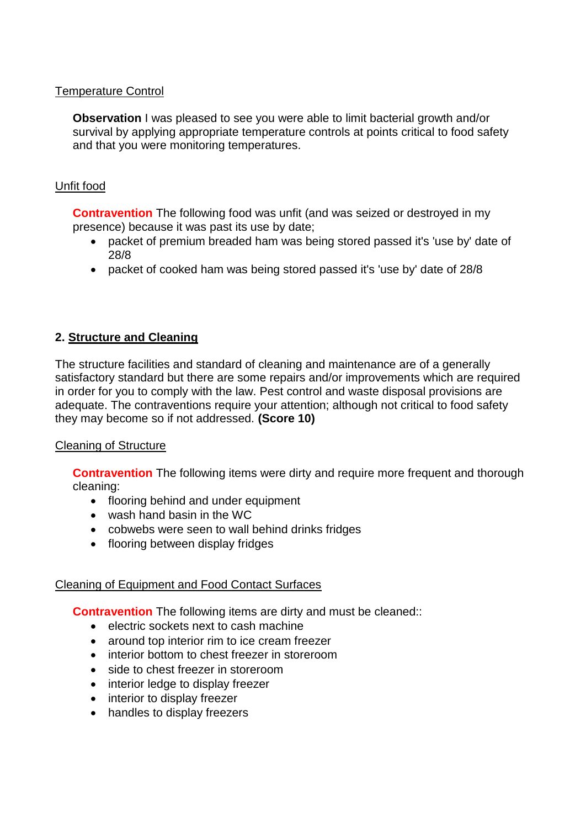### Temperature Control

**Observation** I was pleased to see you were able to limit bacterial growth and/or survival by applying appropriate temperature controls at points critical to food safety and that you were monitoring temperatures.

### Unfit food

**Contravention** The following food was unfit (and was seized or destroyed in my presence) because it was past its use by date;

- packet of premium breaded ham was being stored passed it's 'use by' date of 28/8
- packet of cooked ham was being stored passed it's 'use by' date of 28/8

# **2. Structure and Cleaning**

The structure facilities and standard of cleaning and maintenance are of a generally satisfactory standard but there are some repairs and/or improvements which are required in order for you to comply with the law. Pest control and waste disposal provisions are adequate. The contraventions require your attention; although not critical to food safety they may become so if not addressed. **(Score 10)**

#### Cleaning of Structure

**Contravention** The following items were dirty and require more frequent and thorough cleaning:

- flooring behind and under equipment
- wash hand basin in the WC
- cobwebs were seen to wall behind drinks fridges
- flooring between display fridges

#### Cleaning of Equipment and Food Contact Surfaces

**Contravention** The following items are dirty and must be cleaned::

- electric sockets next to cash machine
- around top interior rim to ice cream freezer
- interior bottom to chest freezer in storeroom
- side to chest freezer in storeroom
- interior ledge to display freezer
- interior to display freezer
- handles to display freezers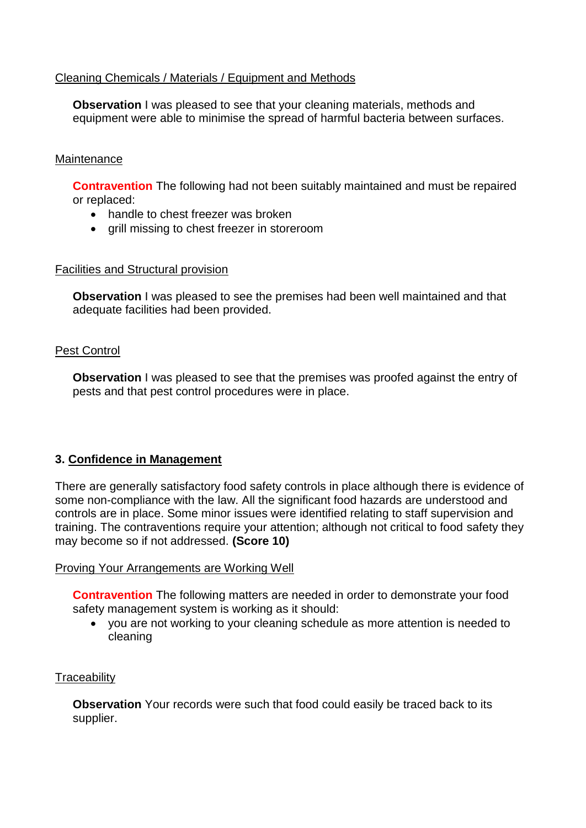## Cleaning Chemicals / Materials / Equipment and Methods

**Observation** I was pleased to see that your cleaning materials, methods and equipment were able to minimise the spread of harmful bacteria between surfaces.

#### **Maintenance**

**Contravention** The following had not been suitably maintained and must be repaired or replaced:

- handle to chest freezer was broken
- grill missing to chest freezer in storeroom

#### Facilities and Structural provision

**Observation** I was pleased to see the premises had been well maintained and that adequate facilities had been provided.

#### Pest Control

**Observation** I was pleased to see that the premises was proofed against the entry of pests and that pest control procedures were in place.

#### **3. Confidence in Management**

There are generally satisfactory food safety controls in place although there is evidence of some non-compliance with the law. All the significant food hazards are understood and controls are in place. Some minor issues were identified relating to staff supervision and training. The contraventions require your attention; although not critical to food safety they may become so if not addressed. **(Score 10)**

#### Proving Your Arrangements are Working Well

**Contravention** The following matters are needed in order to demonstrate your food safety management system is working as it should:

 you are not working to your cleaning schedule as more attention is needed to cleaning

# **Traceability**

**Observation** Your records were such that food could easily be traced back to its supplier.